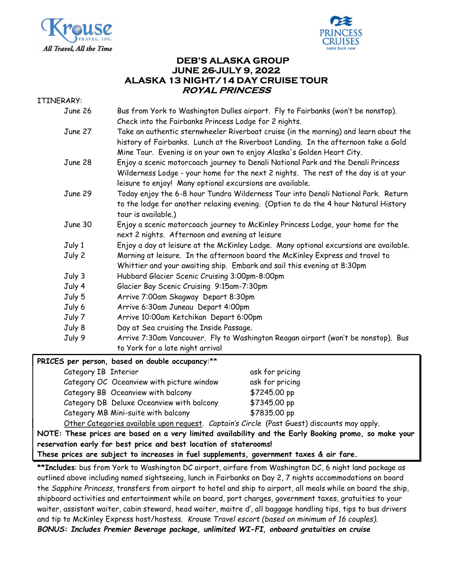



# DEB'S ALASKA GROUP JUNE 26-JULY 9, 2022 ALASKA 13 NIGHT/14 DAY CRUISE TOUR ROYAL PRINCESS

#### ITINERARY:

| June 26 | Bus from York to Washington Dulles airport. Fly to Fairbanks (won't be nonstop).<br>Check into the Fairbanks Princess Lodge for 2 nights.                                                                                                            |
|---------|------------------------------------------------------------------------------------------------------------------------------------------------------------------------------------------------------------------------------------------------------|
| June 27 | Take an authentic sternwheeler Riverboat cruise (in the morning) and learn about the<br>history of Fairbanks. Lunch at the Riverboat Landing. In the afternoon take a Gold<br>Mine Tour. Evening is on your own to enjoy Alaska's Golden Heart City. |
| June 28 | Enjoy a scenic motorcoach journey to Denali National Park and the Denali Princess<br>Wilderness Lodge - your home for the next 2 nights. The rest of the day is at your<br>leisure to enjoy! Many optional excursions are available.                 |
| June 29 | Today enjoy the 6-8 hour Tundra Wilderness Tour into Denali National Park. Return<br>to the lodge for another relaxing evening. (Option to do the 4 hour Natural History<br>tour is available.)                                                      |
| June 30 | Enjoy a scenic motorcoach journey to McKinley Princess Lodge, your home for the<br>next 2 nights. Afternoon and evening at leisure                                                                                                                   |
| July 1  | Enjoy a day at leisure at the McKinley Lodge. Many optional excursions are available.                                                                                                                                                                |
| July 2  | Morning at leisure. In the afternoon board the McKinley Express and travel to<br>Whittier and your awaiting ship. Embark and sail this evening at 8:30pm                                                                                             |
| July 3  | Hubbard Glacier Scenic Cruising 3:00pm-8:00pm                                                                                                                                                                                                        |
| July 4  | Glacier Bay Scenic Cruising 9:15am-7:30pm                                                                                                                                                                                                            |
| July 5  | Arrive 7:00am Skagway Depart 8:30pm                                                                                                                                                                                                                  |
| July 6  | Arrive 6:30am Juneau Depart 4:00pm                                                                                                                                                                                                                   |
| July 7  | Arrive 10:00am Ketchikan Depart 6:00pm                                                                                                                                                                                                               |
| July 8  | Day at Sea cruising the Inside Passage.                                                                                                                                                                                                              |
| July 9  | Arrive 7:30am Vancouver. Fly to Washington Reagan airport (won't be nonstop). Bus<br>to York for a late night arrival                                                                                                                                |

|  |  |  | PRICES per person, based on double occupancy:** |
|--|--|--|-------------------------------------------------|
|  |  |  |                                                 |

| Category IB Interior                                              | ask for pricing |
|-------------------------------------------------------------------|-----------------|
| Category OC Oceanview with picture window                         | ask for pricing |
| Category BB Oceanview with balcony                                | \$7245.00 pp    |
| Category DB Deluxe Oceanview with balcony                         | \$7345.00 pp    |
| Category MB Mini-suite with balcony                               | \$7835.00 pp    |
| Other Ceterspies quileble unen nequest Centrinis Cuele Dest Cuest |                 |

Other Categories available upon request. Captain's Circle (Past Guest) discounts may apply.

NOTE: These prices are based on a very limited availability and the Early Booking promo, so make your reservation early for best price and best location of staterooms!

These prices are subject to increases in fuel supplements, government taxes & air fare.

\*\*Includes: bus from York to Washington DC airport, airfare from Washington DC, 6 night land package as outlined above including named sightseeing, lunch in Fairbanks on Day 2, 7 nights accommodations on board the Sapphire Princess, transfers from airport to hotel and ship to airport, all meals while on board the ship, shipboard activities and entertainment while on board, port charges, government taxes, gratuities to your waiter, assistant waiter, cabin steward, head waiter, maitre d', all baggage handling tips, tips to bus drivers and tip to McKinley Express host/hostess. Krouse Travel escort (based on minimum of 16 couples). BONUS: Includes Premier Beverage package, unlimited WI-FI, onboard gratuities on cruise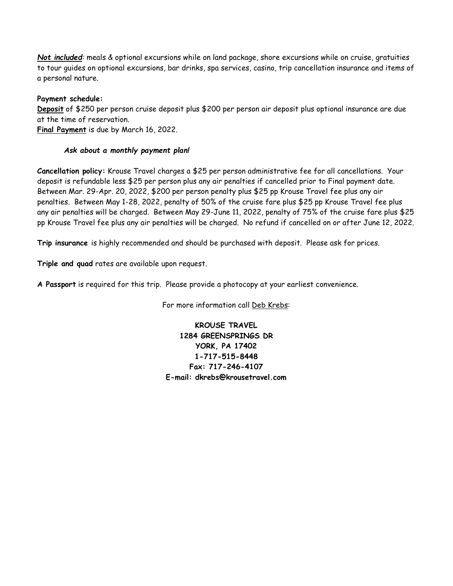Not included: meals & optional excursions while on land package, shore excursions while on cruise, gratuities to tour guides on optional excursions, bar drinks, spa services, casino, trip cancellation insurance and items of a personal nature.

### Payment schedule:

Deposit of \$250 per person cruise deposit plus \$200 per person air deposit plus optional insurance are due at the time of reservation.

Final Payment is due by March 16, 2022.

### Ask about a monthly payment plan!

Cancellation policy: Krouse Travel charges a \$25 per person administrative fee for all cancellations. Your deposit is refundable less \$25 per person plus any air penalties if cancelled prior to Final payment date. Between Mar. 29-Apr. 20, 2022, \$200 per person penalty plus \$25 pp Krouse Travel fee plus any air penalties. Between May 1-28, 2022, penalty of 50% of the cruise fare plus \$25 pp Krouse Travel fee plus any air penalties will be charged. Between May 29-June 11, 2022, penalty of 75% of the cruise fare plus \$25 pp Krouse Travel fee plus any air penalties will be charged. No refund if cancelled on or after June 12, 2022.

Trip insurance is highly recommended and should be purchased with deposit. Please ask for prices.

Triple and quad rates are available upon request.

A Passport is required for this trip. Please provide a photocopy at your earliest convenience.

For more information call Deb Krebs:

KROUSE TRAVEL 1284 GREENSPRINGS DR YORK, PA 17402 1-717-515-8448 Fax: 717-246-4107 E-mail: dkrebs@krousetravel.com